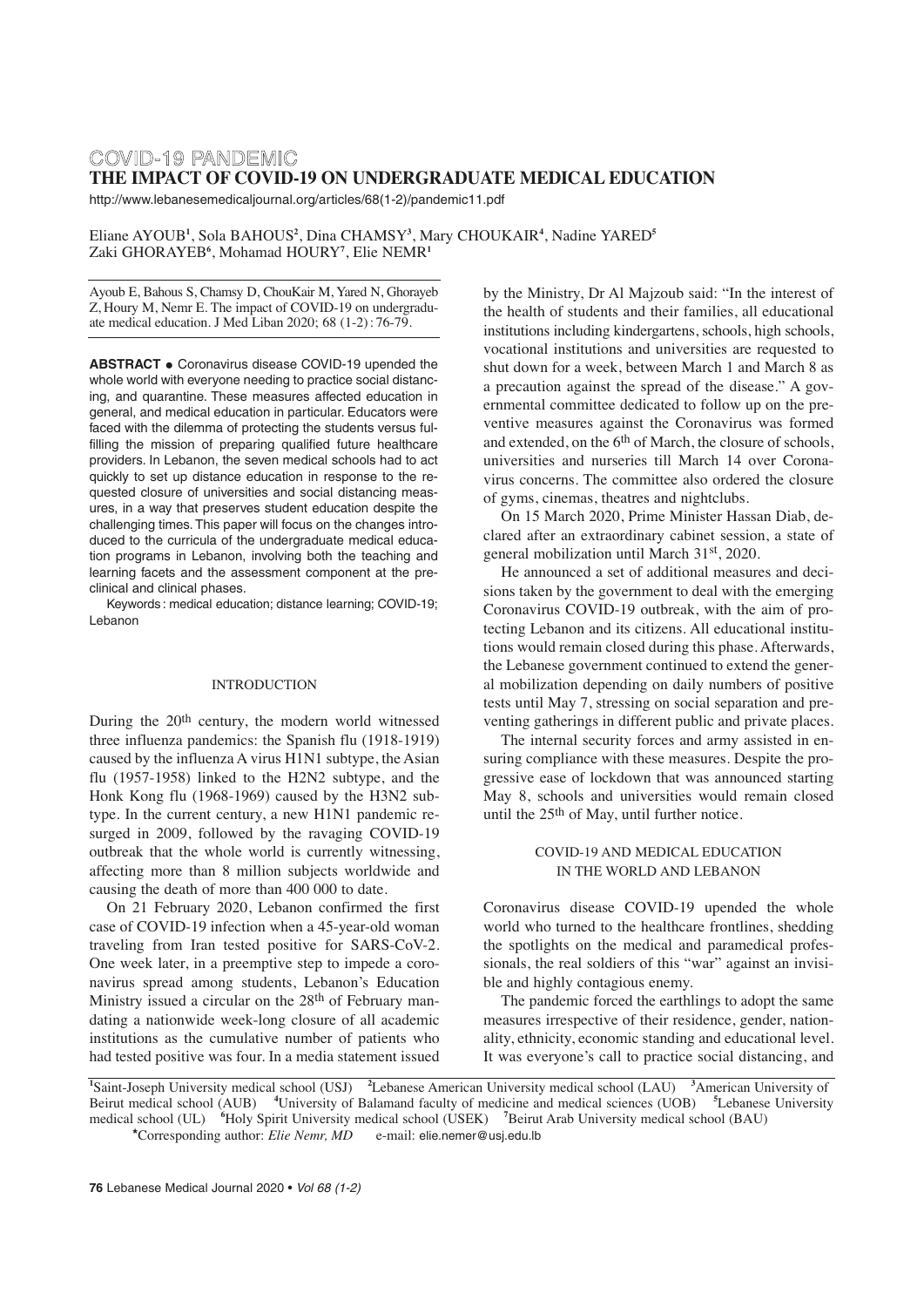# COVID-19 PANDEMIC **THE IMPACT OF COVID-19 ON UNDERGRADUATE MEDICAL EDUCATION**

http://www.lebanesemedicaljournal.org/articles/68(1-2)/pandemic11.pdf

Eliane AYOUB**<sup>1</sup>** , Sola BAHOUS**<sup>2</sup>** , Dina CHAMSY**<sup>3</sup>** , Mary CHOUKAIR**<sup>4</sup>** , Nadine YARED**<sup>5</sup>** Zaki GHORAYEB**<sup>6</sup>** , Mohamad HOURY**<sup>7</sup>** , Elie NEMR**<sup>1</sup>**

Ayoub E, Bahous S, Chamsy D, ChouKair M, Yared N, Ghorayeb Z, Houry M, Nemr E. The impact of COVID-19 on undergraduate medical education. J Med Liban 2020; 68 (1-2) : 76-79.

**ABSTRACT •** Coronavirus disease COVID-19 upended the whole world with everyone needing to practice social distancing, and quarantine. These measures affected education in general, and medical education in particular. Educators were faced with the dilemma of protecting the students versus fulfilling the mission of preparing qualified future healthcare providers. In Lebanon, the seven medical schools had to act quickly to set up distance education in response to the requested closure of universities and social distancing measures, in a way that preserves student education despite the challenging times. This paper will focus on the changes introduced to the curricula of the undergraduate medical education programs in Lebanon, involving both the teaching and learning facets and the assessment component at the preclinical and clinical phases.

Keywords : medical education; distance learning; COVID-19; Lebanon

#### INTRODUCTION

During the 20th century, the modern world witnessed three influenza pandemics: the Spanish flu (1918-1919) caused by the influenza A virus H1N1 subtype, the Asian flu (1957-1958) linked to the H2N2 subtype, and the Honk Kong flu (1968-1969) caused by the H3N2 subtype. In the current century, a new H1N1 pandemic resurged in 2009, followed by the ravaging COVID-19 outbreak that the whole world is currently witnessing, affecting more than 8 million subjects worldwide and causing the death of more than 400 000 to date.

On 21 February 2020, Lebanon confirmed the first case of COVID-19 infection when a 45-year-old woman traveling from Iran tested positive for SARS-CoV-2. One week later, in a preemptive step to impede a coronavirus spread among students, Lebanon's Education Ministry issued a circular on the 28<sup>th</sup> of February mandating a nationwide week-long closure of all academic institutions as the cumulative number of patients who had tested positive was four. In a media statement issued

by the Ministry, Dr Al Majzoub said: "In the interest of the health of students and their families, all educational institutions including kindergartens, schools, high schools, vocational institutions and universities are requested to shut down for a week, between March 1 and March 8 as a precaution against the spread of the disease." A governmental committee dedicated to follow up on the preventive measures against the Coronavirus was formed and extended, on the 6<sup>th</sup> of March, the closure of schools, universities and nurseries till March 14 over Coronavirus concerns. The committee also ordered the closure of gyms, cinemas, theatres and nightclubs.

On 15 March 2020, Prime Minister Hassan Diab, declared after an extraordinary cabinet session, a state of general mobilization until March 31st, 2020.

He announced a set of additional measures and decisions taken by the government to deal with the emerging Coronavirus COVID-19 outbreak, with the aim of protecting Lebanon and its citizens. All educational institutions would remain closed during this phase. Afterwards, the Lebanese government continued to extend the general mobilization depending on daily numbers of positive tests until May 7, stressing on social separation and preventing gatherings in different public and private places.

The internal security forces and army assisted in ensuring compliance with these measures. Despite the progressive ease of lockdown that was announced starting May 8, schools and universities would remain closed until the 25th of May, until further notice.

### COVID-19 AND MEDICAL EDUCATION IN THE WORLD AND LEBANON

Coronavirus disease COVID-19 upended the whole world who turned to the healthcare frontlines, shedding the spotlights on the medical and paramedical professionals, the real soldiers of this "war" against an invisible and highly contagious enemy.

The pandemic forced the earthlings to adopt the same measures irrespective of their residence, gender, nationality, ethnicity, economic standing and educational level. It was everyone's call to practice social distancing, and

<sup>1</sup>Saint-Joseph University medical school (USJ)<sup>2</sup> Lebanese American University medical school (LAU) <sup>3</sup> American University of Beirut medical school (AUB) **<sup>4</sup>** University of Balamand faculty of medicine and medical sciences (UOB) **<sup>5</sup>** Lebanese University medical school (UL) **<sup>6</sup>** Holy Spirit University medical school (USEK) **<sup>7</sup>** Beirut Arab University medical school (BAU) \*Corresponding author: *Elie Nemr*, *MD* e-mail: elie.nemer@usj.edu.lb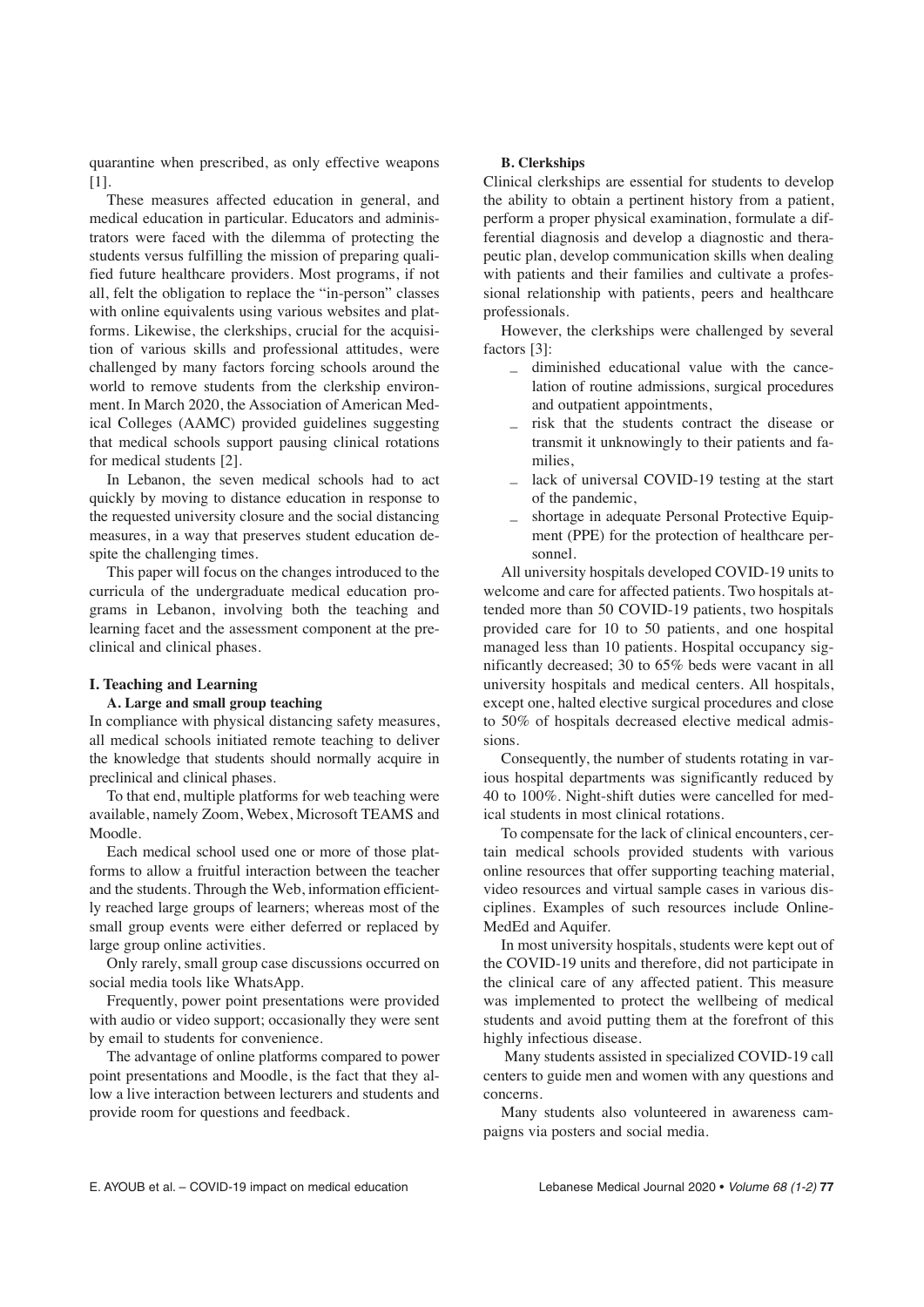quarantine when prescribed, as only effective weapons [1].

These measures affected education in general, and medical education in particular. Educators and administrators were faced with the dilemma of protecting the students versus fulfilling the mission of preparing qualified future healthcare providers. Most programs, if not all, felt the obligation to replace the "in-person" classes with online equivalents using various websites and platforms. Likewise, the clerkships, crucial for the acquisition of various skills and professional attitudes, were challenged by many factors forcing schools around the world to remove students from the clerkship environment. In March 2020, the Association of American Medical Colleges (AAMC) provided guidelines suggesting that medical schools support pausing clinical rotations for medical students [2].

In Lebanon, the seven medical schools had to act quickly by moving to distance education in response to the requested university closure and the social distancing measures, in a way that preserves student education despite the challenging times.

This paper will focus on the changes introduced to the curricula of the undergraduate medical education programs in Lebanon, involving both the teaching and learning facet and the assessment component at the preclinical and clinical phases.

### **I. Teaching and Learning**

### **A. Large and small group teaching**

In compliance with physical distancing safety measures, all medical schools initiated remote teaching to deliver the knowledge that students should normally acquire in preclinical and clinical phases.

To that end, multiple platforms for web teaching were available, namely Zoom, Webex, Microsoft TEAMS and Moodle.

Each medical school used one or more of those platforms to allow a fruitful interaction between the teacher and the students. Through the Web, information efficiently reached large groups of learners; whereas most of the small group events were either deferred or replaced by large group online activities.

Only rarely, small group case discussions occurred on social media tools like WhatsApp.

Frequently, power point presentations were provided with audio or video support; occasionally they were sent by email to students for convenience.

The advantage of online platforms compared to power point presentations and Moodle, is the fact that they allow a live interaction between lecturers and students and provide room for questions and feedback.

#### **B. Clerkships**

Clinical clerkships are essential for students to develop the ability to obtain a pertinent history from a patient, perform a proper physical examination, formulate a differential diagnosis and develop a diagnostic and therapeutic plan, develop communication skills when dealing with patients and their families and cultivate a professional relationship with patients, peers and healthcare professionals.

However, the clerkships were challenged by several factors [3]:

- diminished educational value with the cancelation of routine admissions, surgical procedures and outpatient appointments,
- risk that the students contract the disease or transmit it unknowingly to their patients and families,
- lack of universal COVID-19 testing at the start of the pandemic,
- shortage in adequate Personal Protective Equipment (PPE) for the protection of healthcare personnel.

All university hospitals developed COVID-19 units to welcome and care for affected patients. Two hospitals attended more than 50 COVID-19 patients, two hospitals provided care for 10 to 50 patients, and one hospital managed less than 10 patients. Hospital occupancy significantly decreased; 30 to 65% beds were vacant in all university hospitals and medical centers. All hospitals, except one, halted elective surgical procedures and close to 50% of hospitals decreased elective medical admissions.

Consequently, the number of students rotating in various hospital departments was significantly reduced by 40 to 100%. Night-shift duties were cancelled for medical students in most clinical rotations.

To compensate for the lack of clinical encounters, certain medical schools provided students with various online resources that offer supporting teaching material, video resources and virtual sample cases in various disciplines. Examples of such resources include Online-MedEd and Aquifer.

In most university hospitals, students were kept out of the COVID-19 units and therefore, did not participate in the clinical care of any affected patient. This measure was implemented to protect the wellbeing of medical students and avoid putting them at the forefront of this highly infectious disease.

Many students assisted in specialized COVID-19 call centers to guide men and women with any questions and concerns.

Many students also volunteered in awareness campaigns via posters and social media.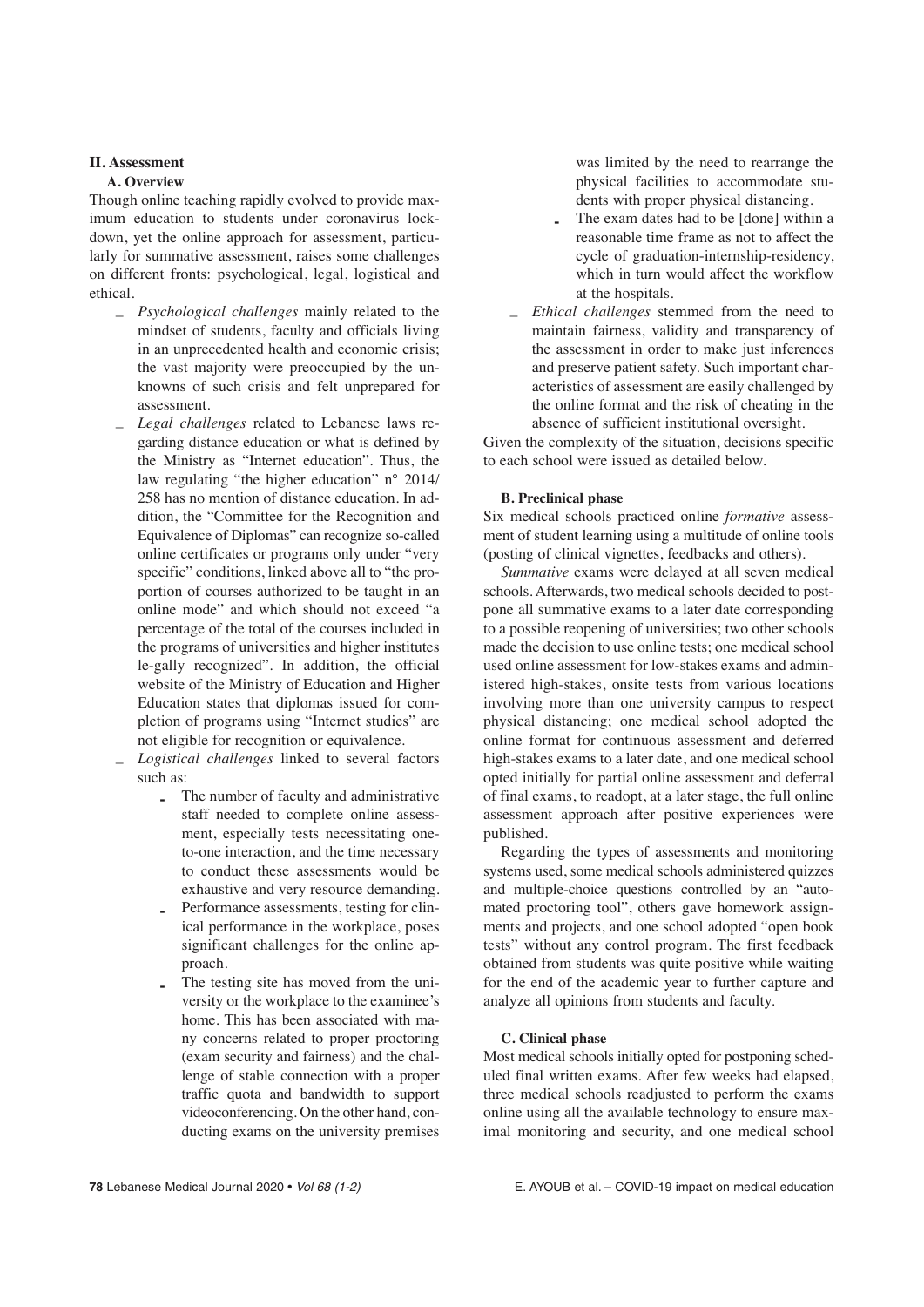### **II. Assessment**

### **A. Overview**

Though online teaching rapidly evolved to provide maximum education to students under coronavirus lockdown, yet the online approach for assessment, particularly for summative assessment, raises some challenges on different fronts: psychological, legal, logistical and ethical.

- *Psychological challenges* mainly related to the mindset of students, faculty and officials living in an unprecedented health and economic crisis; the vast majority were preoccupied by the unknowns of such crisis and felt unprepared for assessment.
- *Legal challenges* related to Lebanese laws regarding distance education or what is defined by the Ministry as "Internet education". Thus, the law regulating "the higher education" n° 2014/ 258 has no mention of distance education. In addition, the "Committee for the Recognition and Equivalence of Diplomas" can recognize so-called online certificates or programs only under "very specific" conditions, linked above all to "the proportion of courses authorized to be taught in an online mode" and which should not exceed "a percentage of the total of the courses included in the programs of universities and higher institutes le-gally recognized". In addition, the official website of the Ministry of Education and Higher Education states that diplomas issued for completion of programs using "Internet studies" are not eligible for recognition or equivalence.
- *Logistical challenges* linked to several factors such as:
	- **-** The number of faculty and administrative staff needed to complete online assessment, especially tests necessitating oneto-one interaction, and the time necessary to conduct these assessments would be exhaustive and very resource demanding.
	- **-** Performance assessments, testing for clinical performance in the workplace, poses significant challenges for the online approach.
	- **-** The testing site has moved from the university or the workplace to the examinee's home. This has been associated with many concerns related to proper proctoring (exam security and fairness) and the challenge of stable connection with a proper traffic quota and bandwidth to support videoconferencing. On the other hand, conducting exams on the university premises

was limited by the need to rearrange the physical facilities to accommodate students with proper physical distancing.

- **-** The exam dates had to be [done] within a reasonable time frame as not to affect the cycle of graduation-internship-residency, which in turn would affect the workflow at the hospitals.
- *Ethical challenges* stemmed from the need to maintain fairness, validity and transparency of the assessment in order to make just inferences and preserve patient safety. Such important characteristics of assessment are easily challenged by the online format and the risk of cheating in the absence of sufficient institutional oversight.

Given the complexity of the situation, decisions specific to each school were issued as detailed below.

# **B. Preclinical phase**

Six medical schools practiced online *formative* assessment of student learning using a multitude of online tools (posting of clinical vignettes, feedbacks and others).

*Summative* exams were delayed at all seven medical schools. Afterwards, two medical schools decided to postpone all summative exams to a later date corresponding to a possible reopening of universities; two other schools made the decision to use online tests; one medical school used online assessment for low-stakes exams and administered high-stakes, onsite tests from various locations involving more than one university campus to respect physical distancing; one medical school adopted the online format for continuous assessment and deferred high-stakes exams to a later date, and one medical school opted initially for partial online assessment and deferral of final exams, to readopt, at a later stage, the full online assessment approach after positive experiences were published.

Regarding the types of assessments and monitoring systems used, some medical schools administered quizzes and multiple-choice questions controlled by an "automated proctoring tool", others gave homework assignments and projects, and one school adopted "open book tests" without any control program. The first feedback obtained from students was quite positive while waiting for the end of the academic year to further capture and analyze all opinions from students and faculty.

# **C. Clinical phase**

Most medical schools initially opted for postponing scheduled final written exams. After few weeks had elapsed, three medical schools readjusted to perform the exams online using all the available technology to ensure maximal monitoring and security, and one medical school